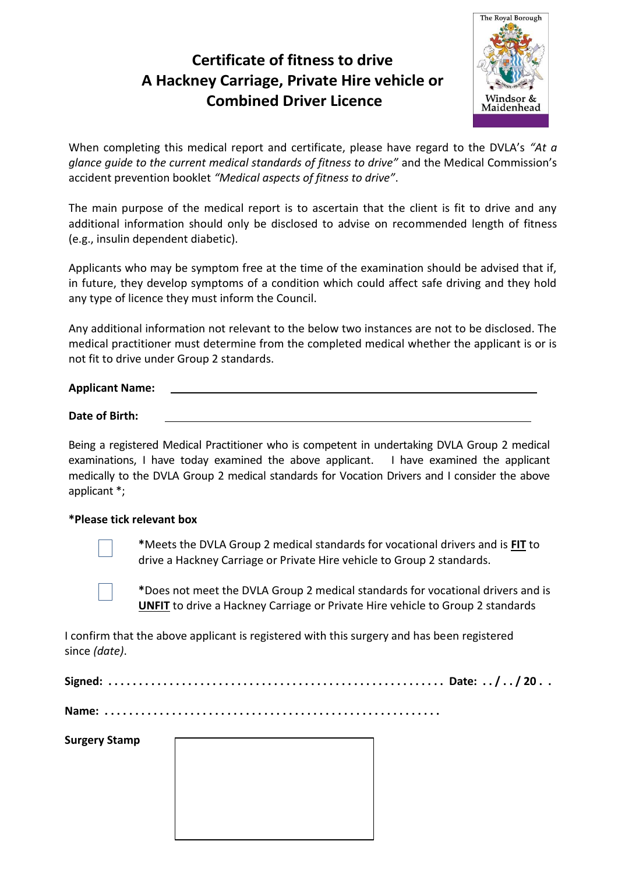## **Certificate of fitness to drive A Hackney Carriage, Private Hire vehicle or Combined Driver Licence**



When completing this medical report and certificate, please have regard to the DVLA's *"At a glance guide to the current medical standards of fitness to drive"* and the Medical Commission's accident prevention booklet *"Medical aspects of fitness to drive"*.

The main purpose of the medical report is to ascertain that the client is fit to drive and any additional information should only be disclosed to advise on recommended length of fitness (e.g., insulin dependent diabetic).

Applicants who may be symptom free at the time of the examination should be advised that if, in future, they develop symptoms of a condition which could affect safe driving and they hold any type of licence they must inform the Council.

Any additional information not relevant to the below two instances are not to be disclosed. The medical practitioner must determine from the completed medical whether the applicant is or is not fit to drive under Group 2 standards.

### **Applicant Name:**

#### **Date of Birth:**

Being a registered Medical Practitioner who is competent in undertaking DVLA Group 2 medical examinations, I have today examined the above applicant. I have examined the applicant medically to the DVLA Group 2 medical standards for Vocation Drivers and I consider the above applicant \*;

#### **\*Please tick relevant box**



**\***Meets the DVLA Group 2 medical standards for vocational drivers and is **FIT** to drive a Hackney Carriage or Private Hire vehicle to Group 2 standards.

**\***Does not meet the DVLA Group 2 medical standards for vocational drivers and is **UNFIT** to drive a Hackney Carriage or Private Hire vehicle to Group 2 standards

I confirm that the above applicant is registered with this surgery and has been registered since *(date)*.

|--|--|

**Name: . . . . . . . . . . . . . . . . . . . . . . . . . . . . . . . . . . . . . . . . . . . . . . . . . . . . . . .** 

**Surgery Stamp**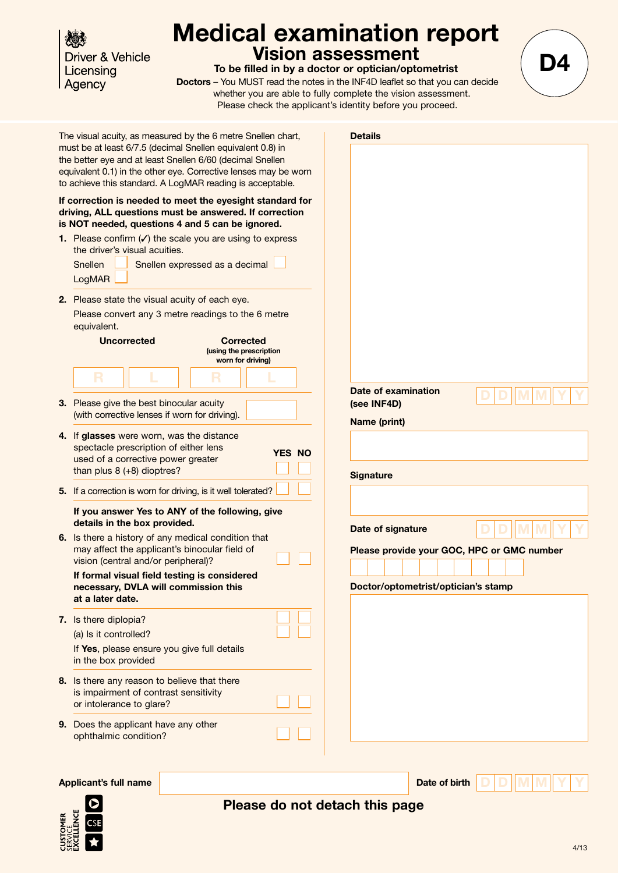Driver & Vehicle Licensing Agency

## **Medical examination report Vision assessment**

**To be filled in by a doctor or optician/optometrist** 

**Doctors** – You MUST read the notes in the INF4D leaflet so that you can decide whether you are able to fully complete the vision assessment. Please check the applicant's identity before you proceed.



**Applicant's full name Date of birth D D M M Y Y D M Y YMD**



### **Please do not detach this page**

**D4**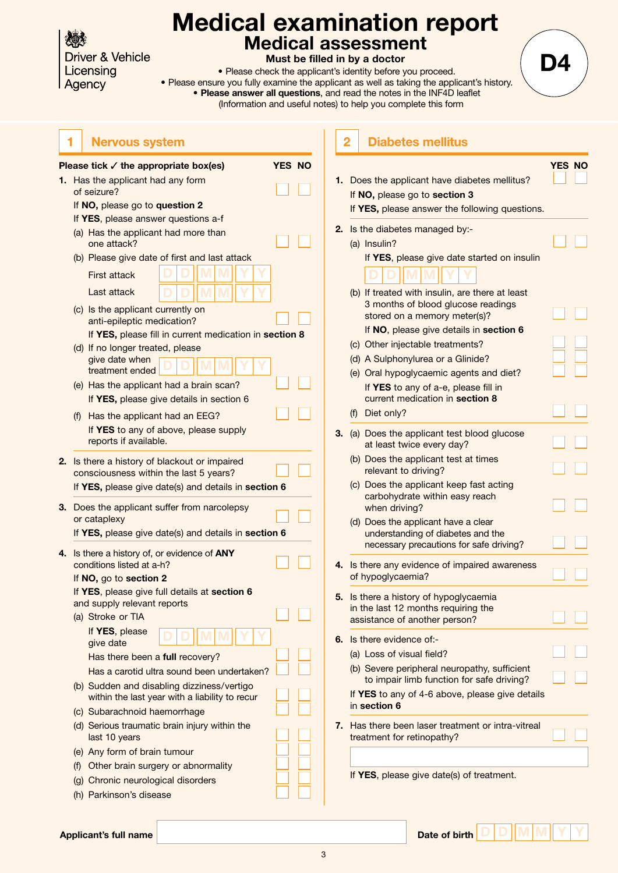**Driver & Vehicle** Licensing Agency

## **Medical examination report Medical assessment**

**Must be filled in by a doctor**

• Please check the applicant's identity before you proceed. • Please ensure you fully examine the applicant as well as taking the applicant's history. • **Please answer all questions**, and read the notes in the INF4D leaflet (Information and useful notes) to help you complete this form

**D4**

| 1 Nervous system |  |
|------------------|--|
|------------------|--|

|    | Please tick $\checkmark$ the appropriate box(es)                                             | <b>YES NO</b> |  |
|----|----------------------------------------------------------------------------------------------|---------------|--|
| 1. | Has the applicant had any form                                                               |               |  |
|    | of seizure?                                                                                  |               |  |
|    | If NO, please go to question 2                                                               |               |  |
|    | If YES, please answer questions a-f                                                          |               |  |
|    | (a) Has the applicant had more than<br>one attack?                                           |               |  |
|    | (b) Please give date of first and last attack                                                |               |  |
|    | <b>First attack</b>                                                                          |               |  |
|    | Last attack                                                                                  |               |  |
|    | (c) Is the applicant currently on                                                            |               |  |
|    | anti-epileptic medication?                                                                   |               |  |
|    | If YES, please fill in current medication in section 8                                       |               |  |
|    | (d) If no longer treated, please<br>give date when                                           |               |  |
|    | treatment ended                                                                              |               |  |
|    | (e) Has the applicant had a brain scan?                                                      |               |  |
|    | If YES, please give details in section 6                                                     |               |  |
|    | (f)<br>Has the applicant had an EEG?                                                         |               |  |
|    | If YES to any of above, please supply<br>reports if available.                               |               |  |
|    | If YES, please give date(s) and details in section 6                                         |               |  |
| 3. | Does the applicant suffer from narcolepsy<br>or cataplexy                                    |               |  |
|    | If YES, please give date(s) and details in section 6                                         |               |  |
| 4. | Is there a history of, or evidence of ANY                                                    |               |  |
|    | conditions listed at a-h?                                                                    |               |  |
|    | If NO, go to section 2                                                                       |               |  |
|    | If YES, please give full details at section 6                                                |               |  |
|    | and supply relevant reports                                                                  |               |  |
|    | (a) Stroke or TIA                                                                            |               |  |
|    | If YES, please<br>give date                                                                  |               |  |
|    | Has there been a full recovery?                                                              |               |  |
|    | Has a carotid ultra sound been undertaken?                                                   |               |  |
|    | (b) Sudden and disabling dizziness/vertigo<br>within the last year with a liability to recur |               |  |
|    | (c) Subarachnoid haemorrhage                                                                 |               |  |
|    | (d) Serious traumatic brain injury within the<br>last 10 years                               |               |  |
|    | (e) Any form of brain tumour                                                                 |               |  |
|    | (f) Other brain surgery or abnormality                                                       |               |  |
|    | (g) Chronic neurological disorders                                                           |               |  |
|    | (h) Parkinson's disease                                                                      |               |  |
|    |                                                                                              |               |  |

|     |                                                                                                                               | <b>YES NO</b> |  |
|-----|-------------------------------------------------------------------------------------------------------------------------------|---------------|--|
|     | Does the applicant have diabetes mellitus?<br>If NO, please go to section 3<br>If YES, please answer the following questions. |               |  |
|     | Is the diabetes managed by:-                                                                                                  |               |  |
|     | (a) Insulin?                                                                                                                  |               |  |
|     | If YES, please give date started on insulin                                                                                   |               |  |
|     | (b) If treated with insulin, are there at least<br>3 months of blood glucose readings<br>stored on a memory meter(s)?         |               |  |
|     | If NO, please give details in section 6                                                                                       |               |  |
|     | (c) Other injectable treatments?                                                                                              |               |  |
|     | (d) A Sulphonylurea or a Glinide?                                                                                             |               |  |
|     | (e) Oral hypoglycaemic agents and diet?                                                                                       |               |  |
|     | If YES to any of a-e, please fill in<br>current medication in section 8                                                       |               |  |
| (f) | Diet only?                                                                                                                    |               |  |
|     | (a) Does the applicant test blood glucose<br>at least twice every day?                                                        |               |  |
|     | (b) Does the applicant test at times<br>relevant to driving?                                                                  |               |  |
|     | (c) Does the applicant keep fast acting<br>carbohydrate within easy reach<br>when driving?                                    |               |  |
|     | (d) Does the applicant have a clear<br>understanding of diabetes and the<br>necessary precautions for safe driving?           |               |  |
|     | Is there any evidence of impaired awareness<br>of hypoglycaemia?                                                              |               |  |
|     | Is there a history of hypoglycaemia                                                                                           |               |  |
|     | in the last 12 months requiring the                                                                                           |               |  |
|     | assistance of another person?                                                                                                 |               |  |
|     | Is there evidence of:-                                                                                                        |               |  |
|     | (a) Loss of visual field?                                                                                                     |               |  |
|     | (b) Severe peripheral neuropathy, sufficient<br>to impair limb function for safe driving?                                     |               |  |
|     | If YES to any of 4-6 above, please give details<br>in section 6                                                               |               |  |
|     | Has there been laser treatment or intra-vitreal                                                                               |               |  |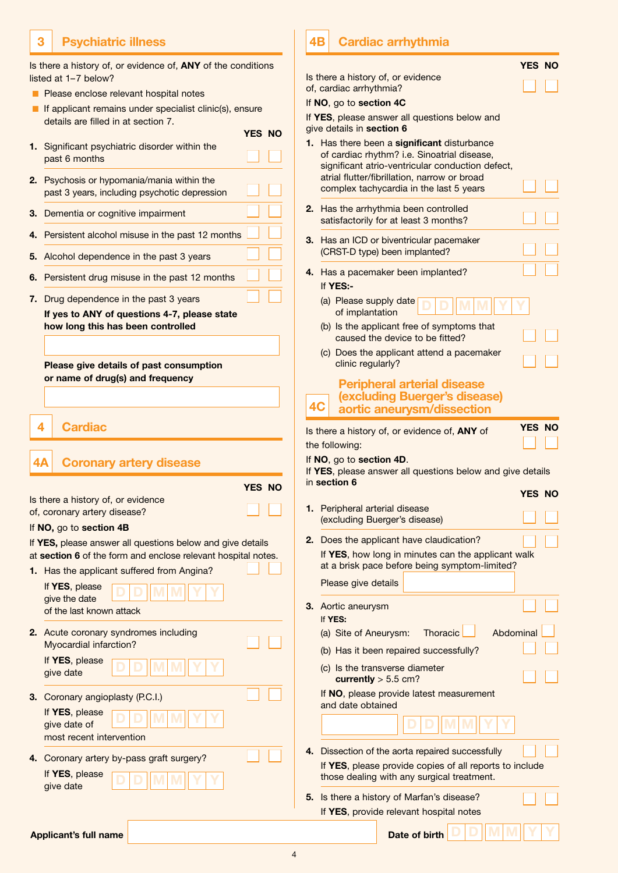### **3 Psychiatric illness**

Is there a history of, or evidence of, **ANY** of the conditions listed at 1–7 below?

- **n** Please enclose relevant hospital notes
- $\blacksquare$  If applicant remains under specialist clinic(s), ensure details are filled in at section 7.

**YES NO**

- **1.** Significant psychiatric disorder within the past 6 months
- **2.** Psychosis or hypomania/mania within the past 3 years, including psychotic depression
- **3.** Dementia or cognitive impairment
- 4. Persistent alcohol misuse in the past 12 months
- **5.** Alcohol dependence in the past 3 years
- 6. Persistent drug misuse in the past 12 months
- **7.** Drug dependence in the past 3 years **If yes to ANY of questions 4-7, please state how long this has been controlled**

**Please give details of past consumption or name of drug(s) and frequency**

**4 Cardiac**

| <b>Coronary artery disease</b><br>4Α                                                                                        |               |  |
|-----------------------------------------------------------------------------------------------------------------------------|---------------|--|
|                                                                                                                             | <b>YES NO</b> |  |
| Is there a history of, or evidence<br>of, coronary artery disease?                                                          |               |  |
| If NO, go to section 4B                                                                                                     |               |  |
| If YES, please answer all questions below and give details<br>at section 6 of the form and enclose relevant hospital notes. |               |  |
| 1. Has the applicant suffered from Angina?                                                                                  |               |  |
| If YES, please<br>give the date<br>of the last known attack                                                                 |               |  |
| 2. Acute coronary syndromes including<br>Myocardial infarction?<br>If YES, please                                           |               |  |
| give date<br><b>3.</b> Coronary angioplasty (P.C.I.)                                                                        |               |  |
| If YES, please<br>give date of                                                                                              |               |  |

**4.** Coronary artery by-pass graft surgery? If **YES**, please give date **D D M M Y Y D M Y YMD**

most recent intervention

#### **4B Cardiac arrhythmia**

|    |                                                                                                                                                                                                                                        | <b>YES NO</b> |
|----|----------------------------------------------------------------------------------------------------------------------------------------------------------------------------------------------------------------------------------------|---------------|
|    | Is there a history of, or evidence<br>of, cardiac arrhythmia?                                                                                                                                                                          |               |
|    | If NO, go to section 4C                                                                                                                                                                                                                |               |
|    | If YES, please answer all questions below and<br>give details in section 6                                                                                                                                                             |               |
| 1. | Has there been a significant disturbance<br>of cardiac rhythm? i.e. Sinoatrial disease,<br>significant atrio-ventricular conduction defect,<br>atrial flutter/fibrillation, narrow or broad<br>complex tachycardia in the last 5 years |               |
| 2. | Has the arrhythmia been controlled<br>satisfactorily for at least 3 months?                                                                                                                                                            |               |
| 3. | Has an ICD or biventricular pacemaker<br>(CRST-D type) been implanted?                                                                                                                                                                 |               |
| 4. | Has a pacemaker been implanted?<br>If YES:-                                                                                                                                                                                            |               |
|    | (a) Please supply date<br>of implantation                                                                                                                                                                                              |               |
|    | (b) Is the applicant free of symptoms that<br>caused the device to be fitted?                                                                                                                                                          |               |
|    | (c) Does the applicant attend a pacemaker<br>clinic regularly?                                                                                                                                                                         |               |
| 4C | <b>Peripheral arterial disease</b><br>(excluding Buerger's disease)<br>aortic aneurysm/dissection                                                                                                                                      |               |
|    | Is there a history of, or evidence of, ANY of                                                                                                                                                                                          | <b>YES NO</b> |
|    |                                                                                                                                                                                                                                        |               |
|    | the following:                                                                                                                                                                                                                         |               |
|    | If NO, go to section 4D.<br>If YES, please answer all questions below and give details                                                                                                                                                 |               |
|    | in section 6                                                                                                                                                                                                                           | <b>YES NO</b> |
| 1. | Peripheral arterial disease<br>(excluding Buerger's disease)                                                                                                                                                                           |               |
| 2. | Does the applicant have claudication?<br>If YES, how long in minutes can the applicant walk                                                                                                                                            |               |
|    | at a brisk pace before being symptom-limited?<br>Please give details                                                                                                                                                                   |               |
| З. | Aortic aneurysm<br>If YES:                                                                                                                                                                                                             |               |
|    | Abdominal<br>(a) Site of Aneurysm:<br>Thoracic                                                                                                                                                                                         |               |
|    | (b) Has it been repaired successfully?                                                                                                                                                                                                 |               |
|    | (c) Is the transverse diameter<br>currently $> 5.5$ cm?                                                                                                                                                                                |               |
|    | If NO, please provide latest measurement<br>and date obtained                                                                                                                                                                          |               |
|    |                                                                                                                                                                                                                                        |               |
| 4. | Dissection of the aorta repaired successfully                                                                                                                                                                                          |               |
|    | If YES, please provide copies of all reports to include<br>those dealing with any surgical treatment.                                                                                                                                  |               |

**D D M M Y Y D M Y YMD**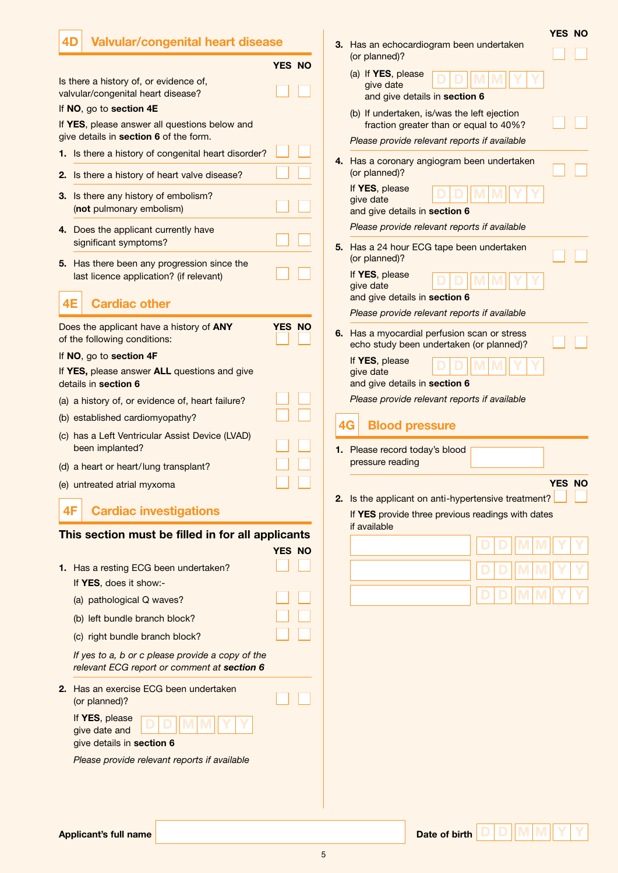| <b>Valvular/congenital heart disease</b><br>4 <sub>D</sub>                              |        | <b>YES NO</b><br>3. Has an echocardiogram been undertaken                                    |
|-----------------------------------------------------------------------------------------|--------|----------------------------------------------------------------------------------------------|
|                                                                                         | YES NO | (or planned)?                                                                                |
| Is there a history of, or evidence of,<br>valvular/congenital heart disease?            |        | (a) If YES, please<br>give date<br>and give details in section 6                             |
| If NO, go to section 4E                                                                 |        | (b) If undertaken, is/was the left ejection                                                  |
| If YES, please answer all questions below and<br>give details in section 6 of the form. |        | fraction greater than or equal to 40%?                                                       |
| 1. Is there a history of congenital heart disorder?                                     |        | Please provide relevant reports if available                                                 |
| Is there a history of heart valve disease?<br>2.                                        |        | 4. Has a coronary angiogram been undertaken<br>(or planned)?                                 |
| 3. Is there any history of embolism?<br>(not pulmonary embolism)                        |        | If YES, please<br>give date<br>and give details in section 6                                 |
| 4. Does the applicant currently have                                                    |        | Please provide relevant reports if available                                                 |
| significant symptoms?<br>5. Has there been any progression since the                    |        | 5. Has a 24 hour ECG tape been undertaken<br>(or planned)?                                   |
| last licence application? (if relevant)                                                 |        | If YES, please<br>give date                                                                  |
| 4E<br><b>Cardiac other</b>                                                              |        | and give details in section 6                                                                |
| Does the applicant have a history of ANY<br>of the following conditions:                | YES NO | Please provide relevant reports if available<br>6. Has a myocardial perfusion scan or stress |
| If NO, go to section 4F                                                                 |        | echo study been undertaken (or planned)?<br>If YES, please                                   |
| If YES, please answer ALL questions and give<br>details in section 6                    |        | give date<br>and give details in section 6                                                   |
| (a) a history of, or evidence of, heart failure?                                        |        | Please provide relevant reports if available                                                 |
| (b) established cardiomyopathy?                                                         |        | 4G                                                                                           |
| (c) has a Left Ventricular Assist Device (LVAD)<br>been implanted?                      |        | <b>Blood pressure</b><br>1. Please record today's blood                                      |
| (d) a heart or heart/lung transplant?                                                   |        | pressure reading                                                                             |
| (e) untreated atrial myxoma                                                             |        | YES NO                                                                                       |
|                                                                                         |        | 2. Is the applicant on anti-hypertensive treatment?                                          |
| <b>Cardiac investigations</b><br>4F                                                     |        | If YES provide three previous readings with dates<br>if available                            |
| This section must be filled in for all applicants                                       |        |                                                                                              |
|                                                                                         | YES NO |                                                                                              |
| 1. Has a resting ECG been undertaken?                                                   |        |                                                                                              |
| If YES, does it show:-<br>(a) pathological Q waves?                                     |        |                                                                                              |
| (b) left bundle branch block?                                                           |        |                                                                                              |
| (c) right bundle branch block?                                                          |        |                                                                                              |
| If yes to a, b or c please provide a copy of the                                        |        |                                                                                              |
| relevant ECG report or comment at section 6                                             |        |                                                                                              |
| 2. Has an exercise ECG been undertaken<br>(or planned)?                                 |        |                                                                                              |
| If YES, please<br>give date and<br>give details in section 6                            |        |                                                                                              |
| Please provide relevant reports if available                                            |        |                                                                                              |
|                                                                                         |        |                                                                                              |
|                                                                                         |        |                                                                                              |
|                                                                                         |        |                                                                                              |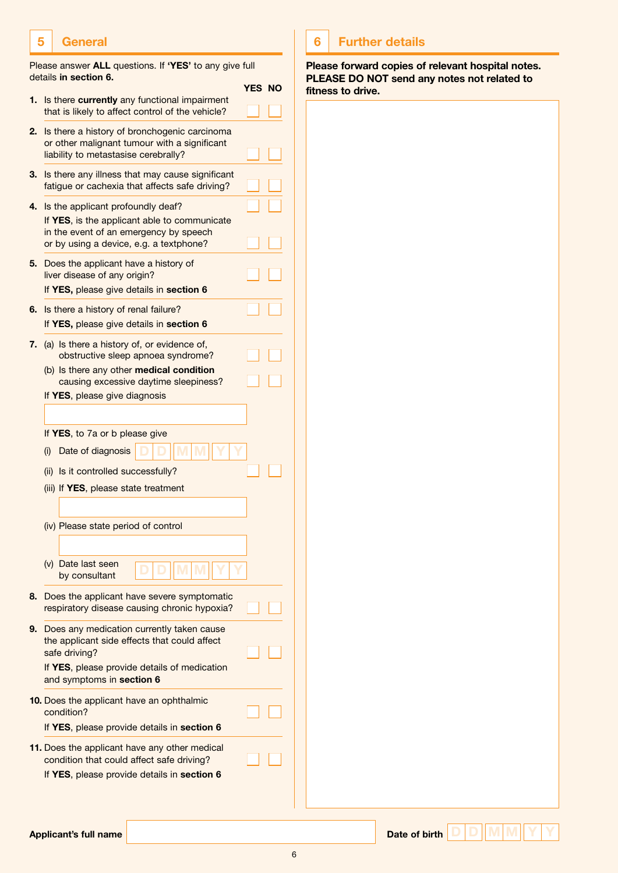### **5 General**

| Please answer ALL questions. If 'YES' to any give full |  |  |
|--------------------------------------------------------|--|--|
| details in section 6.                                  |  |  |

|    | details III secuoli o.                                                                                                                                                                                 | <b>YES NO</b> |  |
|----|--------------------------------------------------------------------------------------------------------------------------------------------------------------------------------------------------------|---------------|--|
| 1. | Is there currently any functional impairment<br>that is likely to affect control of the vehicle?                                                                                                       |               |  |
| 2. | Is there a history of bronchogenic carcinoma<br>or other malignant tumour with a significant<br>liability to metastasise cerebrally?                                                                   |               |  |
| 3. | Is there any illness that may cause significant<br>fatigue or cachexia that affects safe driving?                                                                                                      |               |  |
| 4. | Is the applicant profoundly deaf?<br>If YES, is the applicant able to communicate<br>in the event of an emergency by speech<br>or by using a device, e.g. a textphone?                                 |               |  |
| 5. | Does the applicant have a history of<br>liver disease of any origin?<br>If YES, please give details in section 6                                                                                       |               |  |
| 6. | Is there a history of renal failure?<br>If YES, please give details in section 6                                                                                                                       |               |  |
| 7. | (a) Is there a history of, or evidence of,<br>obstructive sleep apnoea syndrome?<br>(b) Is there any other medical condition<br>causing excessive daytime sleepiness?<br>If YES, please give diagnosis |               |  |
|    |                                                                                                                                                                                                        |               |  |
|    | If YES, to 7a or b please give                                                                                                                                                                         |               |  |
|    | Date of diagnosis<br>(i)                                                                                                                                                                               |               |  |
|    | (ii) Is it controlled successfully?                                                                                                                                                                    |               |  |
|    | (iii) If YES, please state treatment                                                                                                                                                                   |               |  |
|    | (iv) Please state period of control                                                                                                                                                                    |               |  |
|    | (v) Date last seen<br>by consultant                                                                                                                                                                    |               |  |
| 8. | Does the applicant have severe symptomatic<br>respiratory disease causing chronic hypoxia?                                                                                                             |               |  |
| 9. | Does any medication currently taken cause<br>the applicant side effects that could affect<br>safe driving?<br>If YES, please provide details of medication<br>and symptoms in section 6                |               |  |
|    | 10. Does the applicant have an ophthalmic<br>condition?<br>If YES, please provide details in section 6                                                                                                 |               |  |
|    | 11. Does the applicant have any other medical<br>condition that could affect safe driving?<br>If YES, please provide details in section 6                                                              |               |  |

### **6 Further details**

**Please forward copies of relevant hospital notes. Please do not send any notes not related to fitness to drive.**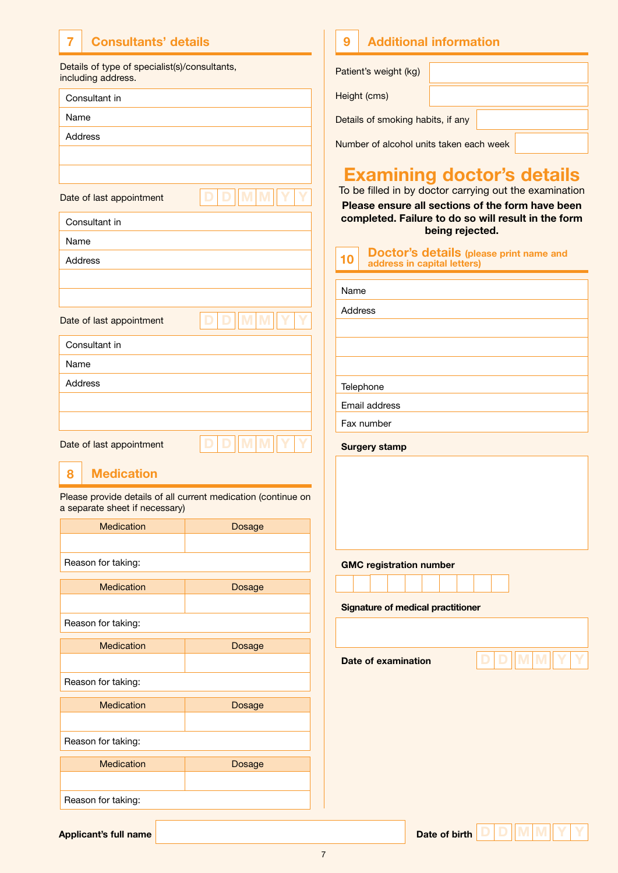# **7 Consultants' details**

Details of type of specialist(s)/consultants, including address.

|      | Consultant in                  |                                                               |
|------|--------------------------------|---------------------------------------------------------------|
| Name |                                |                                                               |
|      | Address                        |                                                               |
|      |                                |                                                               |
|      |                                |                                                               |
|      | Date of last appointment       |                                                               |
|      | Consultant in                  |                                                               |
| Name |                                |                                                               |
|      | Address                        |                                                               |
|      |                                |                                                               |
|      |                                |                                                               |
|      | Date of last appointment       |                                                               |
|      | Consultant in                  |                                                               |
| Name |                                |                                                               |
|      | <b>Address</b>                 |                                                               |
|      |                                |                                                               |
|      |                                |                                                               |
|      | Date of last appointment       |                                                               |
| 8    | <b>Medication</b>              |                                                               |
|      | a separate sheet if necessary) | Please provide details of all current medication (continue on |
|      | <b>Medication</b>              | Dosage                                                        |
|      |                                |                                                               |
|      | Reason for taking:             |                                                               |
|      | <b>Medication</b>              | Dosage                                                        |
|      |                                |                                                               |
|      | Reason for taking:             |                                                               |
|      | <b>Medication</b>              | Dosage                                                        |
|      |                                |                                                               |
|      | Reason for taking:             |                                                               |

Medication **Dosage** 

Medication **Dosage** 

# Patient's weight (kg) Height (cms) **9 Additional information**

Details of smoking habits, if any

Number of alcohol units taken each week

## **Examining doctor's details**

To be filled in by doctor carrying out the examination

**Please ensure all sections of the form have been completed. Failure to do so will result in the form being rejected.**

| <b>10</b> Doctor's details (please print name and address in capital letters) |  |
|-------------------------------------------------------------------------------|--|
|                                                                               |  |

| Name                                     |  |  |  |  |  |
|------------------------------------------|--|--|--|--|--|
| Address                                  |  |  |  |  |  |
|                                          |  |  |  |  |  |
|                                          |  |  |  |  |  |
|                                          |  |  |  |  |  |
| Telephone                                |  |  |  |  |  |
| Email address                            |  |  |  |  |  |
| Fax number                               |  |  |  |  |  |
| <b>Surgery stamp</b>                     |  |  |  |  |  |
|                                          |  |  |  |  |  |
|                                          |  |  |  |  |  |
|                                          |  |  |  |  |  |
|                                          |  |  |  |  |  |
|                                          |  |  |  |  |  |
| <b>GMC registration number</b>           |  |  |  |  |  |
|                                          |  |  |  |  |  |
| <b>Signature of medical practitioner</b> |  |  |  |  |  |

**Date of examination**

**D D M M Y Y** 

**Applicant's full name Date of birth <b>Date of birth Date of birth Date of birth** 

Reason for taking:

Reason for taking: